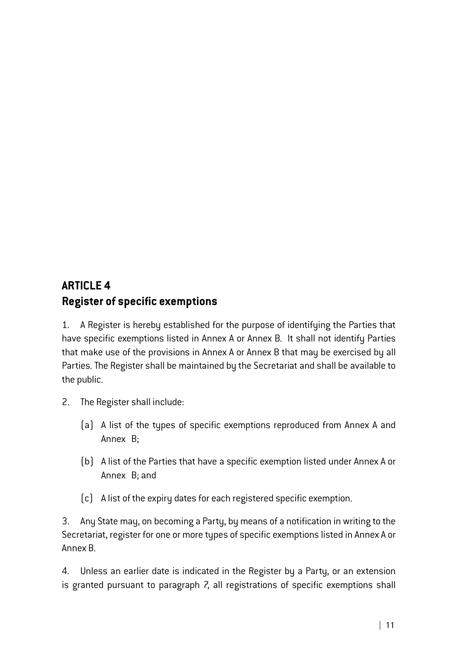## **ARTICLE 4 Register of specific exemptions**

1. A Register is hereby established for the purpose of identifying the Parties that have specific exemptions listed in Annex A or Annex B. It shall not identify Parties that make use of the provisions in Annex A or Annex B that may be exercised by all Parties. The Register shall be maintained by the Secretariat and shall be available to the public.

- 2. The Register shall include:
	- (a) A list of the types of specific exemptions reproduced from Annex A and Annex B;
	- (b) A list of the Parties that have a specific exemption listed under Annex A or Annex B; and
	- (c) A list of the expiry dates for each registered specific exemption.

3. Any State may, on becoming a Party, by means of a notification in writing to the Secretariat, register for one or more types of specific exemptions listed in Annex A or Annex B.

4. Unless an earlier date is indicated in the Register by a Party, or an extension is granted pursuant to paragraph 7, all registrations of specific exemptions shall